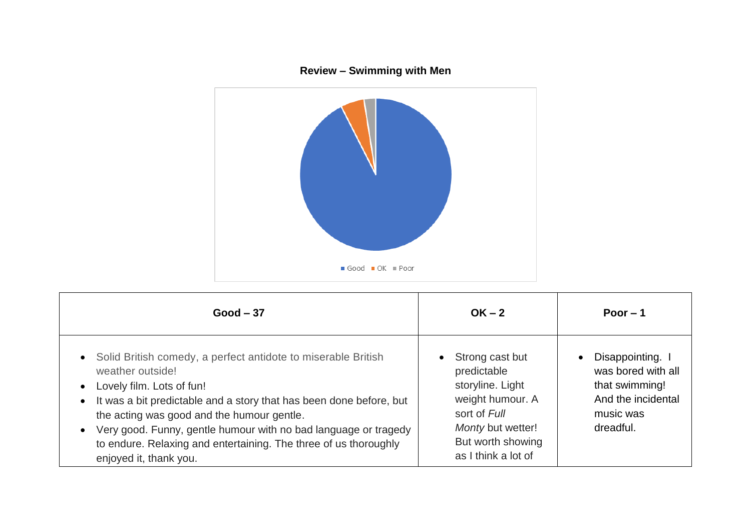

| $Good - 37$                                                                                                                                                                                                                                                                                                                                                                                                | $OK - 2$                                                                                                                                                | Poor $-1$                                                                                                             |
|------------------------------------------------------------------------------------------------------------------------------------------------------------------------------------------------------------------------------------------------------------------------------------------------------------------------------------------------------------------------------------------------------------|---------------------------------------------------------------------------------------------------------------------------------------------------------|-----------------------------------------------------------------------------------------------------------------------|
| • Solid British comedy, a perfect antidote to miserable British<br>weather outside!<br>• Lovely film. Lots of fun!<br>• It was a bit predictable and a story that has been done before, but<br>the acting was good and the humour gentle.<br>Very good. Funny, gentle humour with no bad language or tragedy<br>to endure. Relaxing and entertaining. The three of us thoroughly<br>enjoyed it, thank you. | Strong cast but<br>predictable<br>storyline. Light<br>weight humour. A<br>sort of Full<br>Monty but wetter!<br>But worth showing<br>as I think a lot of | Disappointing. I<br>$\bullet$<br>was bored with all<br>that swimming!<br>And the incidental<br>music was<br>dreadful. |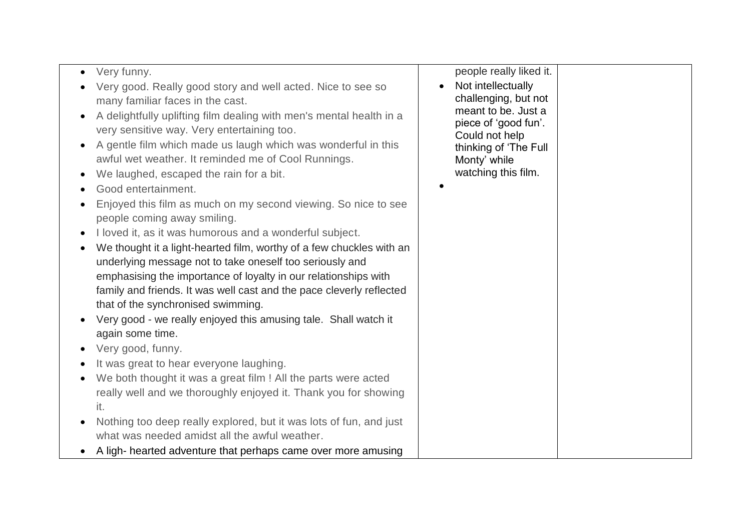|                                                                      | people really liked it. |
|----------------------------------------------------------------------|-------------------------|
| Very funny.                                                          |                         |
| Very good. Really good story and well acted. Nice to see so          | Not intellectually      |
| many familiar faces in the cast.                                     | challenging, but not    |
| A delightfully uplifting film dealing with men's mental health in a  | meant to be. Just a     |
| very sensitive way. Very entertaining too.                           | piece of 'good fun'.    |
| A gentle film which made us laugh which was wonderful in this        | Could not help          |
| awful wet weather. It reminded me of Cool Runnings.                  | thinking of 'The Full   |
|                                                                      | Monty' while            |
| We laughed, escaped the rain for a bit.                              | watching this film.     |
| Good entertainment.                                                  |                         |
| Enjoyed this film as much on my second viewing. So nice to see       |                         |
| people coming away smiling.                                          |                         |
| I loved it, as it was humorous and a wonderful subject.              |                         |
| We thought it a light-hearted film, worthy of a few chuckles with an |                         |
| underlying message not to take oneself too seriously and             |                         |
| emphasising the importance of loyalty in our relationships with      |                         |
|                                                                      |                         |
| family and friends. It was well cast and the pace cleverly reflected |                         |
| that of the synchronised swimming.                                   |                         |
| Very good - we really enjoyed this amusing tale. Shall watch it      |                         |
| again some time.                                                     |                         |
| Very good, funny.                                                    |                         |
| It was great to hear everyone laughing.                              |                         |
| We both thought it was a great film ! All the parts were acted       |                         |
| really well and we thoroughly enjoyed it. Thank you for showing      |                         |
| it.                                                                  |                         |
| Nothing too deep really explored, but it was lots of fun, and just   |                         |
| $\bullet$                                                            |                         |
| what was needed amidst all the awful weather.                        |                         |
| A ligh- hearted adventure that perhaps came over more amusing        |                         |